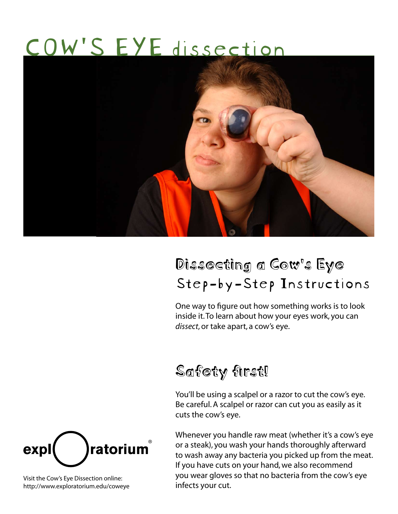# COW'S EYE dissection



# Dissecting a Cow's Eye Step-by-Step Instructions

One way to figure out how something works is to look inside it. To learn about how your eyes work, you can *dissect*, or take apart, a cow's eye.

## Safety first!

You'll be using a scalpel or a razor to cut the cow's eye. Be careful. A scalpel or razor can cut you as easily as it cuts the cow's eye.

Whenever you handle raw meat (whether it's a cow's eye or a steak), you wash your hands thoroughly afterward to wash away any bacteria you picked up from the meat. If you have cuts on your hand, we also recommend you wear gloves so that no bacteria from the cow's eye infects your cut.



Visit the Cow's Eye Dissection online: http://www.exploratorium.edu/coweye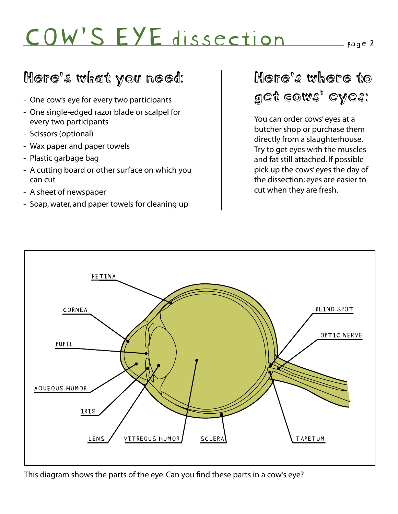## Here's what you need:

- One cow's eye for every two participants
- One single-edged razor blade or scalpel for every two participants
- Scissors (optional)
- Wax paper and paper towels
- Plastic garbage bag
- A cutting board or other surface on which you can cut
- A sheet of newspaper
- Soap, water, and paper towels for cleaning up

## Here's where to get cows' eyes:

You can order cows' eyes at a butcher shop or purchase them directly from a slaughterhouse. Try to get eyes with the muscles and fat still attached. If possible pick up the cows' eyes the day of the dissection; eyes are easier to cut when they are fresh.



This diagram shows the parts of the eye. Can you find these parts in a cow's eye?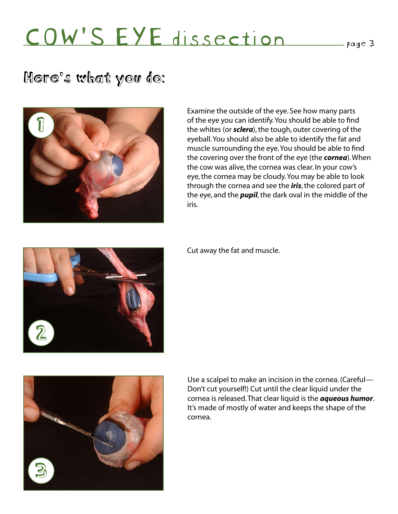## Here's what you do:



Examine the outside of the eye. See how many parts of the eye you can identify. You should be able to find the whites (or *sclera*), the tough, outer covering of the eyeball. You should also be able to identify the fat and muscle surrounding the eye. You should be able to find the covering over the front of the eye (the *cornea*). When the cow was alive, the cornea was clear. In your cow's eye, the cornea may be cloudy. You may be able to look through the cornea and see the *iris*, the colored part of the eye, and the *pupil*, the dark oval in the middle of the iris.

2

Cut away the fat and muscle.



Use a scalpel to make an incision in the cornea. (Careful— Don't cut yourself!) Cut until the clear liquid under the cornea is released. That clear liquid is the *aqueous humor*. It's made of mostly of water and keeps the shape of the cornea.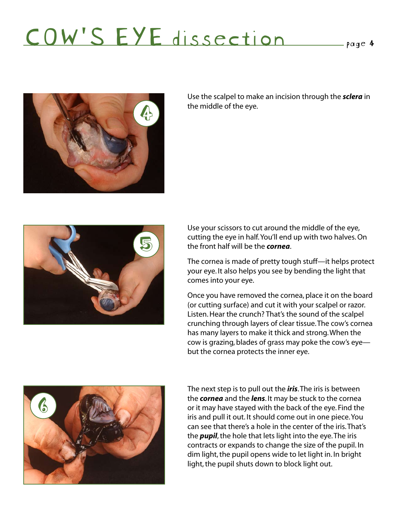

Use the scalpel to make an incision through the *sclera* in the middle of the eye. 4



Use your scissors to cut around the middle of the eye, cutting the eye in half. You'll end up with two halves. On the front half will be the *cornea*.

The cornea is made of pretty tough stuff—it helps protect your eye. It also helps you see by bending the light that comes into your eye.

Once you have removed the cornea, place it on the board (or cutting surface) and cut it with your scalpel or razor. Listen. Hear the crunch? That's the sound of the scalpel crunching through layers of clear tissue. The cow's cornea has many layers to make it thick and strong. When the cow is grazing, blades of grass may poke the cow's eye but the cornea protects the inner eye.



The next step is to pull out the *iris*. The iris is between the *cornea* and the *lens*. It may be stuck to the cornea or it may have stayed with the back of the eye. Find the iris and pull it out. It should come out in one piece. You can see that there's a hole in the center of the iris. That's the *pupil*, the hole that lets light into the eye. The iris contracts or expands to change the size of the pupil. In dim light, the pupil opens wide to let light in. In bright light, the pupil shuts down to block light out.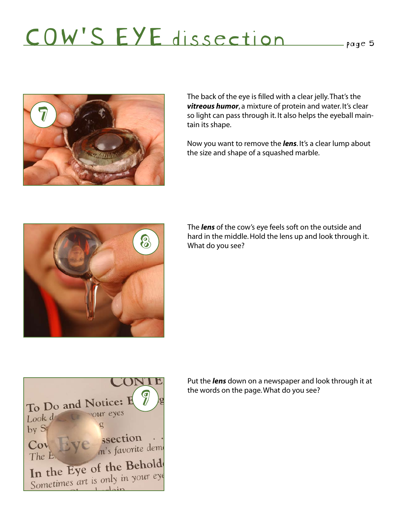

The back of the eye is filled with a clear jelly. That's the *vitreous humor*, a mixture of protein and water. It's clear so light can pass through it. It also helps the eyeball maintain its shape.

Now you want to remove the *lens*. It's a clear lump about the size and shape of a squashed marble.



The *lens* of the cow's eye feels soft on the outside and hard in the middle. Hold the lens up and look through it. What do you see?



Put the *lens* down on a newspaper and look through it at the words on the page. What do you see?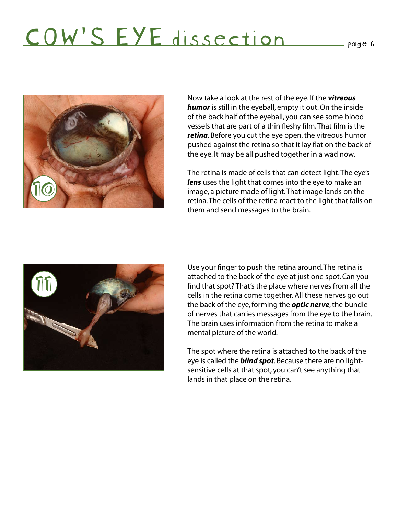

Now take a look at the rest of the eye. If the *vitreous humor* is still in the eyeball, empty it out. On the inside of the back half of the eyeball, you can see some blood vessels that are part of a thin fleshy film. That film is the *retina*. Before you cut the eye open, the vitreous humor pushed against the retina so that it lay flat on the back of the eye. It may be all pushed together in a wad now.

The retina is made of cells that can detect light. The eye's *lens* uses the light that comes into the eye to make an image, a picture made of light. That image lands on the retina. The cells of the retina react to the light that falls on them and send messages to the brain.



Use your finger to push the retina around. The retina is attached to the back of the eye at just one spot. Can you find that spot? That's the place where nerves from all the cells in the retina come together. All these nerves go out the back of the eye, forming the *optic nerve*, the bundle of nerves that carries messages from the eye to the brain. The brain uses information from the retina to make a mental picture of the world.

The spot where the retina is attached to the back of the eye is called the *blind spot*. Because there are no lightsensitive cells at that spot, you can't see anything that lands in that place on the retina.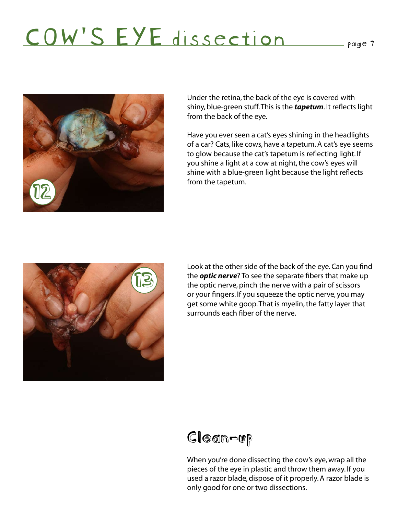

Under the retina, the back of the eye is covered with shiny, blue-green stuff. This is the *tapetum*. It reflects light from the back of the eye.

Have you ever seen a cat's eyes shining in the headlights of a car? Cats, like cows, have a tapetum. A cat's eye seems to glow because the cat's tapetum is reflecting light. If you shine a light at a cow at night, the cow's eyes will shine with a blue-green light because the light reflects from the tapetum.



Look at the other side of the back of the eye. Can you find the *optic nerve*? To see the separate fibers that make up the optic nerve, pinch the nerve with a pair of scissors or your fingers. If you squeeze the optic nerve, you may get some white goop. That is myelin, the fatty layer that surrounds each fiber of the nerve.



When you're done dissecting the cow's eye, wrap all the pieces of the eye in plastic and throw them away. If you used a razor blade, dispose of it properly. A razor blade is only good for one or two dissections.